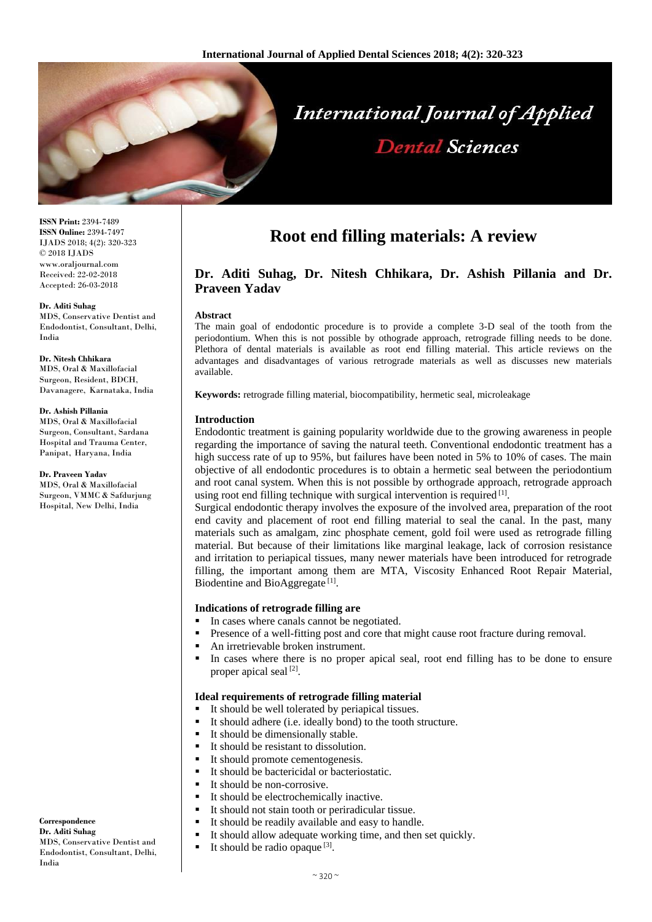

**ISSN Print:** 2394-7489 **ISSN Online:** 2394-7497 IJADS 2018; 4(2): 320-323 © 2018 IJADS www.oraljournal.com Received: 22-02-2018 Accepted: 26-03-2018

#### **Dr. Aditi Suhag**

MDS, Conservative Dentist and Endodontist, Consultant, Delhi, India

**Dr. Nitesh Chhikara** MDS, Oral & Maxillofacial Surgeon, Resident, BDCH, Davanagere, Karnataka, India

#### **Dr. Ashish Pillania**

MDS, Oral & Maxillofacial Surgeon, Consultant, Sardana Hospital and Trauma Center, Panipat, Haryana, India

#### **Dr. Praveen Yadav**

MDS, Oral & Maxillofacial Surgeon, VMMC & Safdurjung Hospital, New Delhi, India

#### **Correspondence Dr. Aditi Suhag** MDS, Conservative Dentist and Endodontist, Consultant, Delhi, India

# **Root end filling materials: A review**

# **Dr. Aditi Suhag, Dr. Nitesh Chhikara, Dr. Ashish Pillania and Dr. Praveen Yadav**

#### **Abstract**

The main goal of endodontic procedure is to provide a complete 3-D seal of the tooth from the periodontium. When this is not possible by othograde approach, retrograde filling needs to be done. Plethora of dental materials is available as root end filling material. This article reviews on the advantages and disadvantages of various retrograde materials as well as discusses new materials available.

**Keywords:** retrograde filling material, biocompatibility, hermetic seal, microleakage

#### **Introduction**

Endodontic treatment is gaining popularity worldwide due to the growing awareness in people regarding the importance of saving the natural teeth. Conventional endodontic treatment has a high success rate of up to 95%, but failures have been noted in 5% to 10% of cases. The main objective of all endodontic procedures is to obtain a hermetic seal between the periodontium and root canal system. When this is not possible by orthograde approach, retrograde approach using root end filling technique with surgical intervention is required  $[1]$ .

Surgical endodontic therapy involves the exposure of the involved area, preparation of the root end cavity and placement of root end filling material to seal the canal. In the past, many materials such as amalgam, zinc phosphate cement, gold foil were used as retrograde filling material. But because of their limitations like marginal leakage, lack of corrosion resistance and irritation to periapical tissues, many newer materials have been introduced for retrograde filling, the important among them are MTA, Viscosity Enhanced Root Repair Material, Biodentine and BioAggregate<sup>[1]</sup>.

### **Indications of retrograde filling are**

- In cases where canals cannot be negotiated.
- **Presence of a well-fitting post and core that might cause root fracture during removal.**
- An irretrievable broken instrument.
- In cases where there is no proper apical seal, root end filling has to be done to ensure proper apical seal<sup>[2]</sup>.

#### **Ideal requirements of retrograde filling material**

- It should be well tolerated by periapical tissues.
- It should adhere (i.e. ideally bond) to the tooth structure.
- $\blacksquare$  It should be dimensionally stable.
- It should be resistant to dissolution.
- It should promote cementogenesis.
- It should be bactericidal or bacteriostatic.
- It should be non-corrosive.
- It should be electrochemically inactive.
- It should not stain tooth or periradicular tissue.
- It should be readily available and easy to handle.
- It should allow adequate working time, and then set quickly.
- It should be radio opaque  $^{[3]}$ .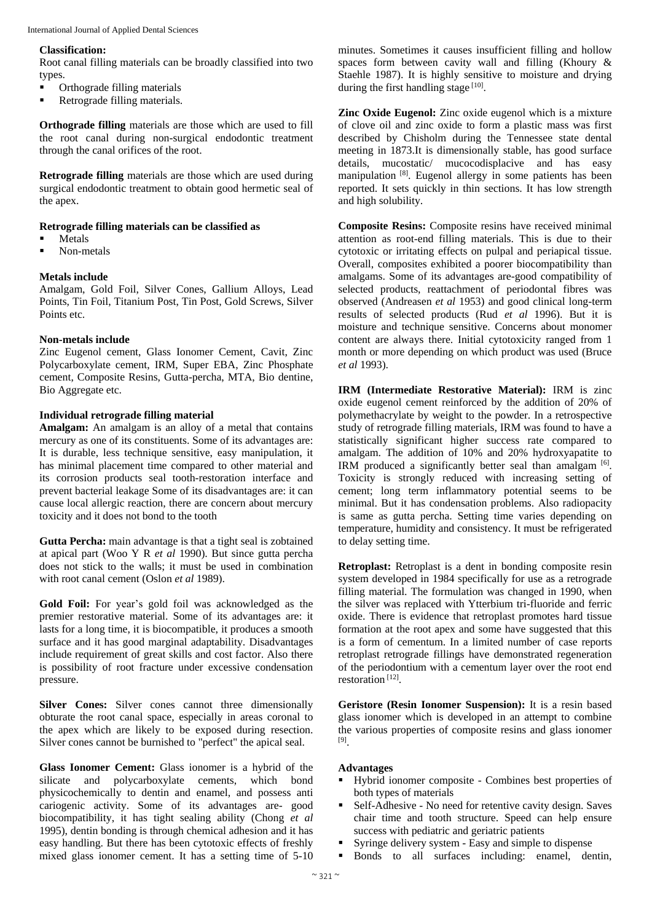### **Classification:**

Root canal filling materials can be broadly classified into two types.

- Orthograde filling materials
- **Retrograde filling materials.**

**Orthograde filling** materials are those which are used to fill the root canal during non-surgical endodontic treatment through the canal orifices of the root.

**Retrograde filling** materials are those which are used during surgical endodontic treatment to obtain good hermetic seal of the apex.

# **Retrograde filling materials can be classified as**

- Metals
- Non-metals

# **Metals include**

Amalgam, Gold Foil, Silver Cones, Gallium Alloys, Lead Points, Tin Foil, Titanium Post, Tin Post, Gold Screws, Silver Points etc.

# **Non-metals include**

Zinc Eugenol cement, Glass Ionomer Cement, Cavit, Zinc Polycarboxylate cement, IRM, Super EBA, Zinc Phosphate cement, Composite Resins, Gutta-percha, MTA, Bio dentine, Bio Aggregate etc.

# **Individual retrograde filling material**

**Amalgam:** An amalgam is an alloy of a metal that contains mercury as one of its constituents. Some of its advantages are: It is durable, less technique sensitive, easy manipulation, it has minimal placement time compared to other material and its corrosion products seal tooth-restoration interface and prevent bacterial leakage Some of its disadvantages are: it can cause local allergic reaction, there are concern about mercury toxicity and it does not bond to the tooth

**Gutta Percha:** main advantage is that a tight seal is zobtained at apical part (Woo Y R *et al* 1990). But since gutta percha does not stick to the walls; it must be used in combination with root canal cement (Oslon *et al* 1989).

**Gold Foil:** For year's gold foil was acknowledged as the premier restorative material. Some of its advantages are: it lasts for a long time, it is biocompatible, it produces a smooth surface and it has good marginal adaptability. Disadvantages include requirement of great skills and cost factor. Also there is possibility of root fracture under excessive condensation pressure.

**Silver Cones:** Silver cones cannot three dimensionally obturate the root canal space, especially in areas coronal to the apex which are likely to be exposed during resection. Silver cones cannot be burnished to "perfect" the apical seal.

**Glass Ionomer Cement:** Glass ionomer is a hybrid of the silicate and polycarboxylate cements, which bond physicochemically to dentin and enamel, and possess anti cariogenic activity. Some of its advantages are- good biocompatibility, it has tight sealing ability (Chong *et al* 1995), dentin bonding is through chemical adhesion and it has easy handling. But there has been cytotoxic effects of freshly mixed glass ionomer cement. It has a setting time of 5-10

minutes. Sometimes it causes insufficient filling and hollow spaces form between cavity wall and filling (Khoury & Staehle 1987). It is highly sensitive to moisture and drying during the first handling stage [10].

**Zinc Oxide Eugenol:** Zinc oxide eugenol which is a mixture of clove oil and zinc oxide to form a plastic mass was first described by Chisholm during the Tennessee state dental meeting in 1873.It is dimensionally stable, has good surface details, mucostatic/ mucocodisplacive and has easy manipulation [8]. Eugenol allergy in some patients has been reported. It sets quickly in thin sections. It has low strength and high solubility.

**Composite Resins:** Composite resins have received minimal attention as root-end filling materials. This is due to their cytotoxic or irritating effects on pulpal and periapical tissue. Overall, composites exhibited a poorer biocompatibility than amalgams. Some of its advantages are-good compatibility of selected products, reattachment of periodontal fibres was observed (Andreasen *et al* 1953) and good clinical long-term results of selected products (Rud *et al* 1996). But it is moisture and technique sensitive. Concerns about monomer content are always there. Initial cytotoxicity ranged from 1 month or more depending on which product was used (Bruce *et al* 1993).

**IRM (Intermediate Restorative Material):** IRM is zinc oxide eugenol cement reinforced by the addition of 20% of polymethacrylate by weight to the powder. In a retrospective study of retrograde filling materials, IRM was found to have a statistically significant higher success rate compared to amalgam. The addition of 10% and 20% hydroxyapatite to IRM produced a significantly better seal than amalgam  $[6]$ . Toxicity is strongly reduced with increasing setting of cement; long term inflammatory potential seems to be minimal. But it has condensation problems. Also radiopacity is same as gutta percha. Setting time varies depending on temperature, humidity and consistency. It must be refrigerated to delay setting time.

**Retroplast:** Retroplast is a dent in bonding composite resin system developed in 1984 specifically for use as a retrograde filling material. The formulation was changed in 1990, when the silver was replaced with Ytterbium tri-fluoride and ferric oxide. There is evidence that retroplast promotes hard tissue formation at the root apex and some have suggested that this is a form of cementum. In a limited number of case reports retroplast retrograde fillings have demonstrated regeneration of the periodontium with a cementum layer over the root end restoration [12] .

**Geristore (Resin Ionomer Suspension):** It is a resin based glass ionomer which is developed in an attempt to combine the various properties of composite resins and glass ionomer [9] .

# **Advantages**

- Hybrid ionomer composite Combines best properties of both types of materials
- Self-Adhesive No need for retentive cavity design. Saves chair time and tooth structure. Speed can help ensure success with pediatric and geriatric patients
- Syringe delivery system Easy and simple to dispense
- Bonds to all surfaces including: enamel, dentin,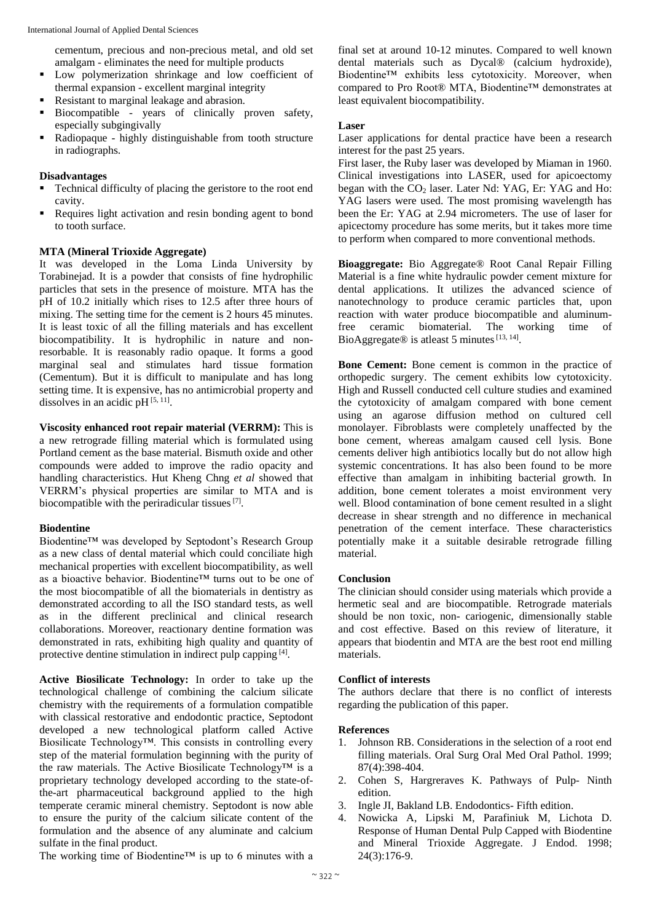cementum, precious and non-precious metal, and old set amalgam - eliminates the need for multiple products

- Low polymerization shrinkage and low coefficient of thermal expansion - excellent marginal integrity
- Resistant to marginal leakage and abrasion.
- Biocompatible years of clinically proven safety, especially subgingivally
- Radiopaque highly distinguishable from tooth structure in radiographs.

### **Disadvantages**

- Technical difficulty of placing the geristore to the root end cavity.
- Requires light activation and resin bonding agent to bond to tooth surface.

## **MTA (Mineral Trioxide Aggregate)**

It was developed in the Loma Linda University by Torabinejad. It is a powder that consists of fine hydrophilic particles that sets in the presence of moisture. MTA has the pH of 10.2 initially which rises to 12.5 after three hours of mixing. The setting time for the cement is 2 hours 45 minutes. It is least toxic of all the filling materials and has excellent biocompatibility. It is hydrophilic in nature and nonresorbable. It is reasonably radio opaque. It forms a good marginal seal and stimulates hard tissue formation (Cementum). But it is difficult to manipulate and has long setting time. It is expensive, has no antimicrobial property and dissolves in an acidic pH $^{[5, 11]}$ .

**Viscosity enhanced root repair material (VERRM):** This is a new retrograde filling material which is formulated using Portland cement as the base material. Bismuth oxide and other compounds were added to improve the radio opacity and handling characteristics. Hut Kheng Chng *et al* showed that VERRM's physical properties are similar to MTA and is biocompatible with the periradicular tissues  $[7]$ .

### **Biodentine**

Biodentine™ was developed by Septodont's Research Group as a new class of dental material which could conciliate high mechanical properties with excellent biocompatibility, as well as a bioactive behavior. Biodentine™ turns out to be one of the most biocompatible of all the biomaterials in dentistry as demonstrated according to all the ISO standard tests, as well as in the different preclinical and clinical research collaborations. Moreover, reactionary dentine formation was demonstrated in rats, exhibiting high quality and quantity of protective dentine stimulation in indirect pulp capping [4].

**Active Biosilicate Technology:** In order to take up the technological challenge of combining the calcium silicate chemistry with the requirements of a formulation compatible with classical restorative and endodontic practice, Septodont developed a new technological platform called Active Biosilicate Technology™. This consists in controlling every step of the material formulation beginning with the purity of the raw materials. The Active Biosilicate Technology™ is a proprietary technology developed according to the state-ofthe-art pharmaceutical background applied to the high temperate ceramic mineral chemistry. Septodont is now able to ensure the purity of the calcium silicate content of the formulation and the absence of any aluminate and calcium sulfate in the final product.

The working time of Biodentine™ is up to 6 minutes with a

final set at around 10-12 minutes. Compared to well known dental materials such as Dycal® (calcium hydroxide), Biodentine™ exhibits less cytotoxicity. Moreover, when compared to Pro Root® MTA, Biodentine™ demonstrates at least equivalent biocompatibility.

## **Laser**

Laser applications for dental practice have been a research interest for the past 25 years.

First laser, the Ruby laser was developed by Miaman in 1960. Clinical investigations into LASER, used for apicoectomy began with the  $CO<sub>2</sub>$  laser. Later Nd: YAG, Er: YAG and Ho: YAG lasers were used. The most promising wavelength has been the Er: YAG at 2.94 micrometers. The use of laser for apicectomy procedure has some merits, but it takes more time to perform when compared to more conventional methods.

**Bioaggregate:** Bio Aggregate® Root Canal Repair Filling Material is a fine white hydraulic powder cement mixture for dental applications. It utilizes the advanced science of nanotechnology to produce ceramic particles that, upon reaction with water produce biocompatible and aluminumfree ceramic biomaterial. The working time of BioAggregate® is atleast 5 minutes  $[13, 14]$ .

**Bone Cement:** Bone cement is common in the practice of orthopedic surgery. The cement exhibits low cytotoxicity. High and Russell conducted cell culture studies and examined the cytotoxicity of amalgam compared with bone cement using an agarose diffusion method on cultured cell monolayer. Fibroblasts were completely unaffected by the bone cement, whereas amalgam caused cell lysis. Bone cements deliver high antibiotics locally but do not allow high systemic concentrations. It has also been found to be more effective than amalgam in inhibiting bacterial growth. In addition, bone cement tolerates a moist environment very well. Blood contamination of bone cement resulted in a slight decrease in shear strength and no difference in mechanical penetration of the cement interface. These characteristics potentially make it a suitable desirable retrograde filling material.

# **Conclusion**

The clinician should consider using materials which provide a hermetic seal and are biocompatible. Retrograde materials should be non toxic, non- cariogenic, dimensionally stable and cost effective. Based on this review of literature, it appears that biodentin and MTA are the best root end milling materials.

### **Conflict of interests**

The authors declare that there is no conflict of interests regarding the publication of this paper.

### **References**

- 1. Johnson RB. Considerations in the selection of a root end filling materials. Oral Surg Oral Med Oral Pathol. 1999; 87(4):398-404.
- 2. Cohen S, Hargreraves K. Pathways of Pulp- Ninth edition.
- 3. Ingle JI, Bakland LB. Endodontics- Fifth edition.
- 4. Nowicka A, Lipski M, Parafiniuk M, Lichota D. Response of Human Dental Pulp Capped with Biodentine and Mineral Trioxide Aggregate. J Endod. 1998; 24(3):176-9.